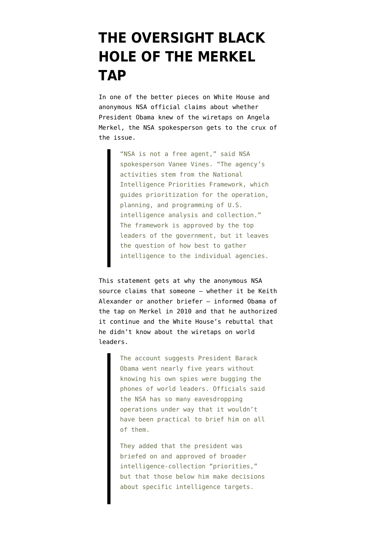## **[THE OVERSIGHT BLACK](https://www.emptywheel.net/2013/10/28/the-oversight-black-hole-of-the-merkel-tap/) [HOLE OF THE MERKEL](https://www.emptywheel.net/2013/10/28/the-oversight-black-hole-of-the-merkel-tap/) [TAP](https://www.emptywheel.net/2013/10/28/the-oversight-black-hole-of-the-merkel-tap/)**

In one of the [better pieces](http://thecable.foreignpolicy.com/posts/2013/10/28/us_official_blames_shutdown_for_failure_to_explain_nsa_spying) on White House and anonymous NSA official claims about whether President Obama knew of the wiretaps on Angela Merkel, the NSA spokesperson gets to the crux of the issue.

> "NSA is not a free agent," said NSA spokesperson Vanee Vines. "The agency's activities stem from the National Intelligence Priorities Framework, which guides prioritization for the operation, planning, and programming of U.S. intelligence analysis and collection." The framework is approved by the top leaders of the government, but it leaves the question of how best to gather intelligence to the individual agencies.

This statement gets at why the anonymous NSA source claims that someone — whether it be Keith Alexander or another briefer — informed Obama of the tap on Merkel in 2010 and that he authorized it continue and the [White House's rebuttal](http://online.wsj.com/news/articles/SB10001424052702304470504579162110180138036) that he didn't know about the wiretaps on world leaders.

> The account suggests President Barack Obama went nearly five years without knowing his own spies were bugging the phones of world leaders. Officials said the NSA has so many eavesdropping operations under way that it wouldn't have been practical to brief him on all of them.

> They added that the president was briefed on and approved of broader intelligence-collection "priorities," but that those below him make decisions about specific intelligence targets.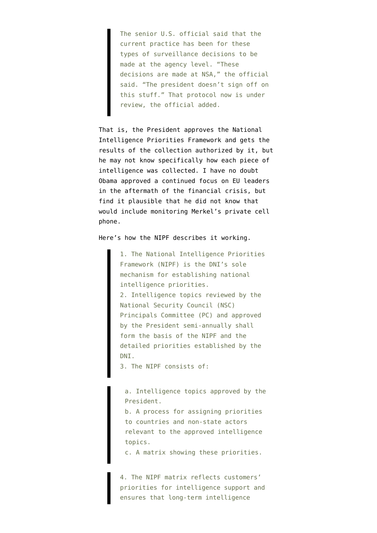The senior U.S. official said that the current practice has been for these types of surveillance decisions to be made at the agency level. "These decisions are made at NSA," the official said. "The president doesn't sign off on this stuff." That protocol now is under review, the official added.

That is, the President approves the National Intelligence Priorities Framework and gets the results of the collection authorized by it, but he may not know specifically how each piece of intelligence was collected. I have no doubt Obama approved a continued focus on EU leaders in the aftermath of the financial crisis, but find it plausible that he did not know that would include monitoring Merkel's private cell phone.

Here's how the [NIPF](http://www.fas.org/irp/dni/icd/icd-204.pdf) describes it working.

1. The National Intelligence Priorities Framework (NIPF) is the DNI's sole mechanism for establishing national intelligence priorities. 2. Intelligence topics reviewed by the National Security Council (NSC) Principals Committee (PC) and approved by the President semi-annually shall form the basis of the NIPF and the detailed priorities established by the DNI.

3. The NIPF consists of:

a. Intelligence topics approved by the President.

b. A process for assigning priorities to countries and non-state actors relevant to the approved intelligence topics.

c. A matrix showing these priorities.

4. The NIPF matrix reflects customers' priorities for intelligence support and ensures that long-term intelligence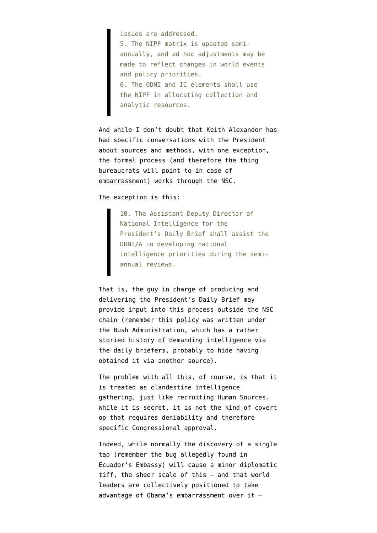issues are addressed. 5. The NIPF matrix is updated semiannually, and ad hoc adjustments may be made to reflect changes in world events and policy priorities. 6. The ODNI and IC elements shall use the NIPF in allocating collection and analytic resources.

And while I don't doubt that Keith Alexander has had specific conversations with the President about sources and methods, with one exception, the formal process (and therefore the thing bureaucrats will point to in case of embarrassment) works through the NSC.

The exception is this:

10. The Assistant Deputy Director of National Intelligence for the President's Daily Brief shall assist the DDNI/A in developing national intelligence priorities during the semiannual reviews.

That is, the guy in charge of producing and delivering the President's Daily Brief may provide input into this process outside the NSC chain (remember this policy was written under the Bush Administration, which has a rather storied history of demanding intelligence via the daily briefers, probably to hide having obtained it via another source).

The problem with all this, of course, is that it is treated as clandestine intelligence gathering, just like recruiting Human Sources. While it is secret, it is not the kind of covert op that requires deniability and therefore specific Congressional approval.

Indeed, while normally the discovery of a single tap (remember the bug allegedly found in Ecuador's Embassy) will cause a minor diplomatic tiff, the sheer scale of this — and that world leaders are collectively positioned to take advantage of Obama's embarrassment over it —